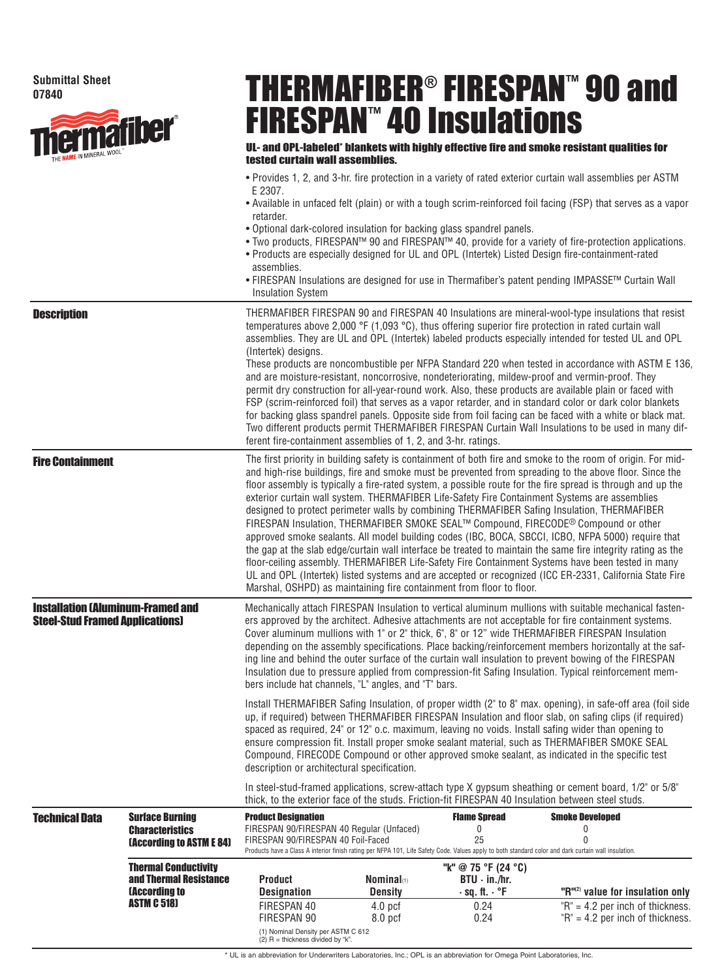## **Submittal Sheet 07840**



## THERMAFIBER® FIRESPAN™ 90 and FIRESPAN™ 40 Insulations

## UL- and OPL-labeled\* blankets with highly effective fire and smoke resistant qualities for tested curtain wall assemblies.

- Provides 1, 2, and 3-hr. fire protection in a variety of rated exterior curtain wall assemblies per ASTM E 2307.
- Available in unfaced felt (plain) or with a tough scrim-reinforced foil facing (FSP) that serves as a vapor retarder.
- Optional dark-colored insulation for backing glass spandrel panels.
- Two products, FIRESPAN™ 90 and FIRESPAN™ 40, provide for a variety of fire-protection applications.
- Products are especially designed for UL and OPL (Intertek) Listed Design fire-containment-rated assemblies.
- FIRESPAN Insulations are designed for use in Thermafiber's patent pending IMPASSE™ Curtain Wall Insulation System

| <b>Description</b>                                                                 |                                                                                                     | (Intertek) designs.                                                                                                                                                                                                                                                                                                                                                                                                                                                                                                                                                                                                                                                                                                                                                                                                                                                                                                                                                                                                                                                                                                                      | ferent fire-containment assemblies of 1, 2, and 3-hr. ratings.                                                       |                                                                                                                                                                                                   | THERMAFIBER FIRESPAN 90 and FIRESPAN 40 Insulations are mineral-wool-type insulations that resist<br>temperatures above 2,000 °F (1,093 °C), thus offering superior fire protection in rated curtain wall<br>assemblies. They are UL and OPL (Intertek) labeled products especially intended for tested UL and OPL<br>These products are noncombustible per NFPA Standard 220 when tested in accordance with ASTM E 136,<br>and are moisture-resistant, noncorrosive, nondeteriorating, mildew-proof and vermin-proof. They<br>permit dry construction for all-year-round work. Also, these products are available plain or faced with<br>FSP (scrim-reinforced foil) that serves as a vapor retarder, and in standard color or dark color blankets<br>for backing glass spandrel panels. Opposite side from foil facing can be faced with a white or black mat.<br>Two different products permit THERMAFIBER FIRESPAN Curtain Wall Insulations to be used in many dif- |  |  |  |
|------------------------------------------------------------------------------------|-----------------------------------------------------------------------------------------------------|------------------------------------------------------------------------------------------------------------------------------------------------------------------------------------------------------------------------------------------------------------------------------------------------------------------------------------------------------------------------------------------------------------------------------------------------------------------------------------------------------------------------------------------------------------------------------------------------------------------------------------------------------------------------------------------------------------------------------------------------------------------------------------------------------------------------------------------------------------------------------------------------------------------------------------------------------------------------------------------------------------------------------------------------------------------------------------------------------------------------------------------|----------------------------------------------------------------------------------------------------------------------|---------------------------------------------------------------------------------------------------------------------------------------------------------------------------------------------------|-------------------------------------------------------------------------------------------------------------------------------------------------------------------------------------------------------------------------------------------------------------------------------------------------------------------------------------------------------------------------------------------------------------------------------------------------------------------------------------------------------------------------------------------------------------------------------------------------------------------------------------------------------------------------------------------------------------------------------------------------------------------------------------------------------------------------------------------------------------------------------------------------------------------------------------------------------------------------|--|--|--|
| <b>Fire Containment</b>                                                            |                                                                                                     | The first priority in building safety is containment of both fire and smoke to the room of origin. For mid-<br>and high-rise buildings, fire and smoke must be prevented from spreading to the above floor. Since the<br>floor assembly is typically a fire-rated system, a possible route for the fire spread is through and up the<br>exterior curtain wall system. THERMAFIBER Life-Safety Fire Containment Systems are assemblies<br>designed to protect perimeter walls by combining THERMAFIBER Safing Insulation, THERMAFIBER<br>FIRESPAN Insulation, THERMAFIBER SMOKE SEAL™ Compound, FIRECODE® Compound or other<br>approved smoke sealants. All model building codes (IBC, BOCA, SBCCI, ICBO, NFPA 5000) require that<br>the gap at the slab edge/curtain wall interface be treated to maintain the same fire integrity rating as the<br>floor-ceiling assembly. THERMAFIBER Life-Safety Fire Containment Systems have been tested in many<br>UL and OPL (Intertek) listed systems and are accepted or recognized (ICC ER-2331, California State Fire<br>Marshal, OSHPD) as maintaining fire containment from floor to floor. |                                                                                                                      |                                                                                                                                                                                                   |                                                                                                                                                                                                                                                                                                                                                                                                                                                                                                                                                                                                                                                                                                                                                                                                                                                                                                                                                                         |  |  |  |
| <b>Installation (Aluminum-Framed and</b><br><b>Steel-Stud Framed Applications)</b> |                                                                                                     | Mechanically attach FIRESPAN Insulation to vertical aluminum mullions with suitable mechanical fasten-<br>ers approved by the architect. Adhesive attachments are not acceptable for fire containment systems.<br>Cover aluminum mullions with 1" or 2" thick, 6", 8" or 12" wide THERMAFIBER FIRESPAN Insulation<br>depending on the assembly specifications. Place backing/reinforcement members horizontally at the saf-<br>ing line and behind the outer surface of the curtain wall insulation to prevent bowing of the FIRESPAN<br>Insulation due to pressure applied from compression-fit Safing Insulation. Typical reinforcement mem-<br>bers include hat channels, "L" angles, and "T" bars.                                                                                                                                                                                                                                                                                                                                                                                                                                   |                                                                                                                      |                                                                                                                                                                                                   |                                                                                                                                                                                                                                                                                                                                                                                                                                                                                                                                                                                                                                                                                                                                                                                                                                                                                                                                                                         |  |  |  |
|                                                                                    |                                                                                                     | Install THERMAFIBER Safing Insulation, of proper width (2" to 8" max. opening), in safe-off area (foil side<br>up, if required) between THERMAFIBER FIRESPAN Insulation and floor slab, on safing clips (if required)<br>spaced as required, 24" or 12" o.c. maximum, leaving no voids. Install safing wider than opening to<br>ensure compression fit. Install proper smoke sealant material, such as THERMAFIBER SMOKE SEAL<br>Compound, FIRECODE Compound or other approved smoke sealant, as indicated in the specific test<br>description or architectural specification.                                                                                                                                                                                                                                                                                                                                                                                                                                                                                                                                                           |                                                                                                                      |                                                                                                                                                                                                   |                                                                                                                                                                                                                                                                                                                                                                                                                                                                                                                                                                                                                                                                                                                                                                                                                                                                                                                                                                         |  |  |  |
|                                                                                    |                                                                                                     |                                                                                                                                                                                                                                                                                                                                                                                                                                                                                                                                                                                                                                                                                                                                                                                                                                                                                                                                                                                                                                                                                                                                          |                                                                                                                      |                                                                                                                                                                                                   | In steel-stud-framed applications, screw-attach type X gypsum sheathing or cement board, 1/2" or 5/8"<br>thick, to the exterior face of the studs. Friction-fit FIRESPAN 40 Insulation between steel studs.                                                                                                                                                                                                                                                                                                                                                                                                                                                                                                                                                                                                                                                                                                                                                             |  |  |  |
| <b>Technical Data</b>                                                              | <b>Surface Burning</b><br><b>Characteristics</b><br><b>(According to ASTM E 84)</b>                 | <b>Product Designation</b><br>FIRESPAN 90/FIRESPAN 40 Regular (Unfaced)<br>FIRESPAN 90/FIRESPAN 40 Foil-Faced                                                                                                                                                                                                                                                                                                                                                                                                                                                                                                                                                                                                                                                                                                                                                                                                                                                                                                                                                                                                                            |                                                                                                                      | <b>Flame Spread</b><br>$\mathbf{0}$<br>25<br>Products have a Class A interior finish rating per NFPA 101, Life Safety Code. Values apply to both standard color and dark curtain wall insulation. | <b>Smoke Developed</b><br>0<br>0                                                                                                                                                                                                                                                                                                                                                                                                                                                                                                                                                                                                                                                                                                                                                                                                                                                                                                                                        |  |  |  |
|                                                                                    | <b>Thermal Conductivity</b><br>and Thermal Resistance<br><b>(According to</b><br><b>ASTM C 518)</b> | <b>Product</b><br><b>Designation</b><br>FIRESPAN 40<br>FIRESPAN 90                                                                                                                                                                                                                                                                                                                                                                                                                                                                                                                                                                                                                                                                                                                                                                                                                                                                                                                                                                                                                                                                       | <b>Nominal</b> (1)<br><b>Density</b><br>4.0 <sub>pcf</sub><br>8.0 <sub>pcf</sub><br>$n \times \Lambda$ CTM $\cap$ C1 | "k" @ 75 °F (24 °C)<br>$BTU \cdot in./hr.$<br>$\cdot$ sq. ft. $\cdot$ °F<br>0.24<br>0.24                                                                                                          | "R"(2) value for insulation only<br>$"R" = 4.2$ per inch of thickness.<br>$"R" = 4.2$ per inch of thickness.                                                                                                                                                                                                                                                                                                                                                                                                                                                                                                                                                                                                                                                                                                                                                                                                                                                            |  |  |  |

(1) Nominal Density per ASTM C 612 (2) R = thickness divided by "k".